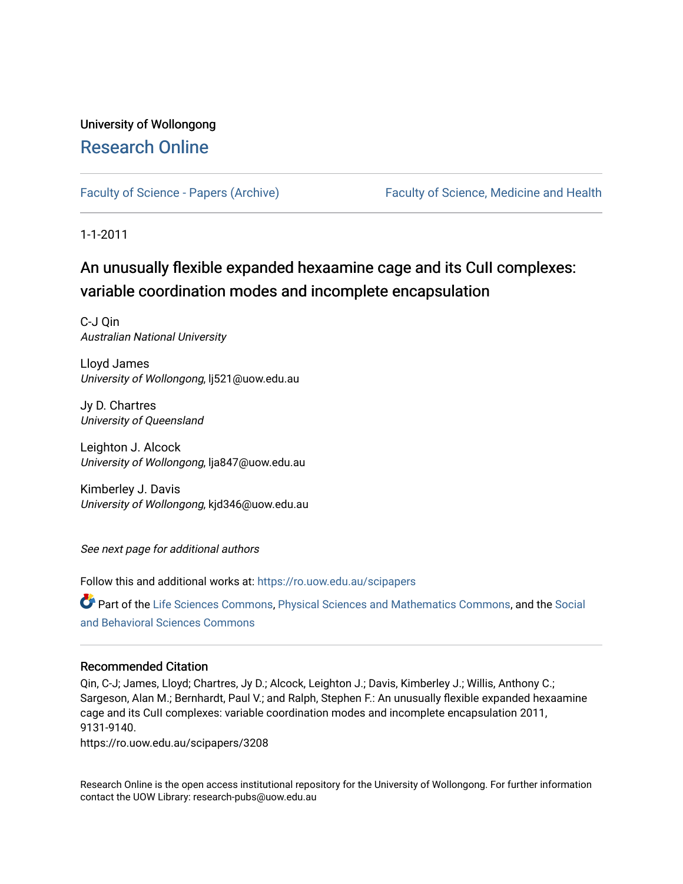# University of Wollongong [Research Online](https://ro.uow.edu.au/)

[Faculty of Science - Papers \(Archive\)](https://ro.uow.edu.au/scipapers) Faculty of Science, Medicine and Health

1-1-2011

# An unusually flexible expanded hexaamine cage and its CuII complexes: variable coordination modes and incomplete encapsulation

C-J Qin Australian National University

Lloyd James University of Wollongong, lj521@uow.edu.au

Jy D. Chartres University of Queensland

Leighton J. Alcock University of Wollongong, lja847@uow.edu.au

Kimberley J. Davis University of Wollongong, kjd346@uow.edu.au

See next page for additional authors

Follow this and additional works at: [https://ro.uow.edu.au/scipapers](https://ro.uow.edu.au/scipapers?utm_source=ro.uow.edu.au%2Fscipapers%2F3208&utm_medium=PDF&utm_campaign=PDFCoverPages)

Part of the [Life Sciences Commons,](http://network.bepress.com/hgg/discipline/1016?utm_source=ro.uow.edu.au%2Fscipapers%2F3208&utm_medium=PDF&utm_campaign=PDFCoverPages) [Physical Sciences and Mathematics Commons,](http://network.bepress.com/hgg/discipline/114?utm_source=ro.uow.edu.au%2Fscipapers%2F3208&utm_medium=PDF&utm_campaign=PDFCoverPages) and the Social [and Behavioral Sciences Commons](http://network.bepress.com/hgg/discipline/316?utm_source=ro.uow.edu.au%2Fscipapers%2F3208&utm_medium=PDF&utm_campaign=PDFCoverPages) 

# Recommended Citation

Qin, C-J; James, Lloyd; Chartres, Jy D.; Alcock, Leighton J.; Davis, Kimberley J.; Willis, Anthony C.; Sargeson, Alan M.; Bernhardt, Paul V.; and Ralph, Stephen F.: An unusually flexible expanded hexaamine cage and its CuII complexes: variable coordination modes and incomplete encapsulation 2011, 9131-9140.

https://ro.uow.edu.au/scipapers/3208

Research Online is the open access institutional repository for the University of Wollongong. For further information contact the UOW Library: research-pubs@uow.edu.au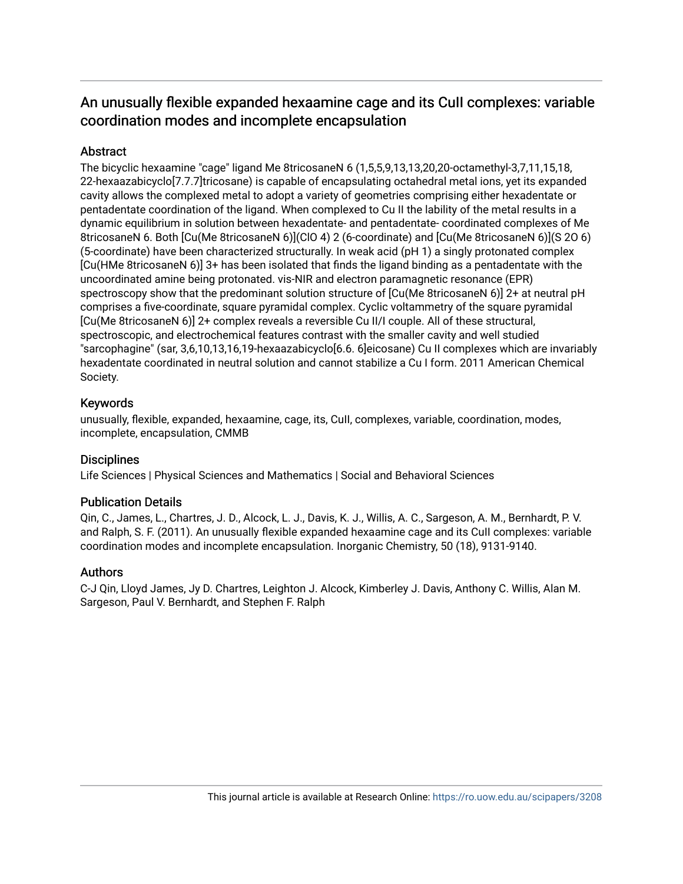# An unusually flexible expanded hexaamine cage and its CuII complexes: variable coordination modes and incomplete encapsulation

# **Abstract**

The bicyclic hexaamine "cage" ligand Me 8tricosaneN 6 (1,5,5,9,13,13,20,20-octamethyl-3,7,11,15,18, 22-hexaazabicyclo[7.7.7]tricosane) is capable of encapsulating octahedral metal ions, yet its expanded cavity allows the complexed metal to adopt a variety of geometries comprising either hexadentate or pentadentate coordination of the ligand. When complexed to Cu II the lability of the metal results in a dynamic equilibrium in solution between hexadentate- and pentadentate- coordinated complexes of Me 8tricosaneN 6. Both [Cu(Me 8tricosaneN 6)](ClO 4) 2 (6-coordinate) and [Cu(Me 8tricosaneN 6)](S 2O 6) (5-coordinate) have been characterized structurally. In weak acid (pH 1) a singly protonated complex [Cu(HMe 8tricosaneN 6)] 3+ has been isolated that finds the ligand binding as a pentadentate with the uncoordinated amine being protonated. vis-NIR and electron paramagnetic resonance (EPR) spectroscopy show that the predominant solution structure of  $[Cu(Me 8tricosaneN 6)]$  2+ at neutral pH comprises a five-coordinate, square pyramidal complex. Cyclic voltammetry of the square pyramidal [Cu(Me 8tricosaneN 6)] 2+ complex reveals a reversible Cu II/I couple. All of these structural, spectroscopic, and electrochemical features contrast with the smaller cavity and well studied "sarcophagine" (sar, 3,6,10,13,16,19-hexaazabicyclo[6.6. 6]eicosane) Cu II complexes which are invariably hexadentate coordinated in neutral solution and cannot stabilize a Cu I form. 2011 American Chemical Society.

# Keywords

unusually, flexible, expanded, hexaamine, cage, its, CuII, complexes, variable, coordination, modes, incomplete, encapsulation, CMMB

# **Disciplines**

Life Sciences | Physical Sciences and Mathematics | Social and Behavioral Sciences

# Publication Details

Qin, C., James, L., Chartres, J. D., Alcock, L. J., Davis, K. J., Willis, A. C., Sargeson, A. M., Bernhardt, P. V. and Ralph, S. F. (2011). An unusually flexible expanded hexaamine cage and its CuII complexes: variable coordination modes and incomplete encapsulation. Inorganic Chemistry, 50 (18), 9131-9140.

# Authors

C-J Qin, Lloyd James, Jy D. Chartres, Leighton J. Alcock, Kimberley J. Davis, Anthony C. Willis, Alan M. Sargeson, Paul V. Bernhardt, and Stephen F. Ralph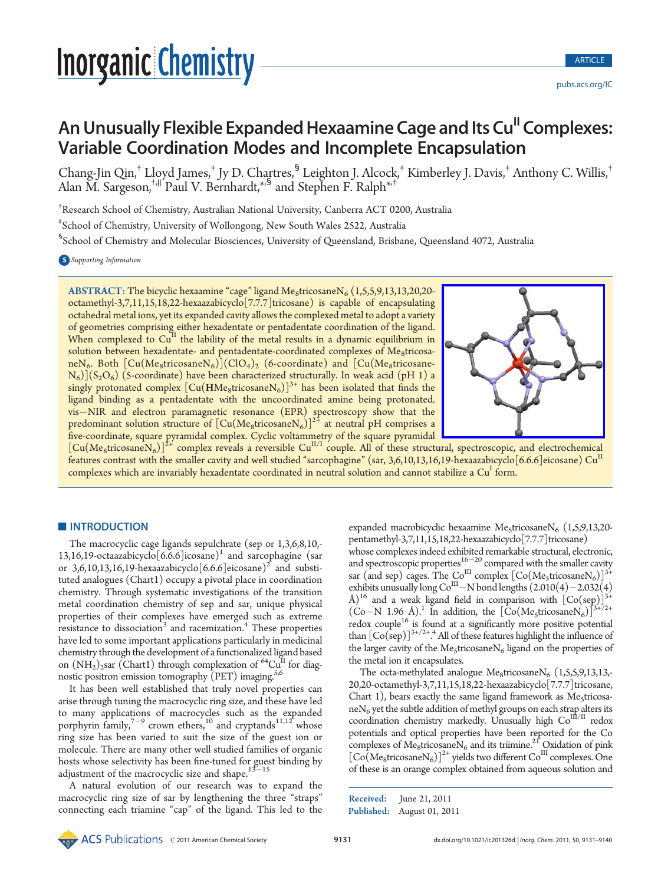# An Unusually Flexible Expanded Hexaamine Cage and Its Cu<sup>II</sup> Complexes: Variable Coordination Modes and Incomplete Encapsulation

Chang-Jin Qin,† Lloyd James,‡ Jy D. Chartres,§ Leighton J. Alcock,‡ Kimberley J. Davis,‡ Anthony C. Willis,† Alan M. Sargeson,<sup>+,||</sup> Paul V. Bernhardt,<sup>\*,§</sup> and Stephen F. Ralph<sup>\*,‡</sup>

† Research School of Chemistry, Australian National University, Canberra ACT 0200, Australia

‡ School of Chemistry, University of Wollongong, New South Wales 2522, Australia

§ School of Chemistry and Molecular Biosciences, University of Queensland, Brisbane, Queensland 4072, Australia

S Supporting Information

**FIGURISHITY**<br> **FIGURE Expanded Hexaamine Cage and Its Cu<sup>11</sup> Complexes:<br>
<b>Expanded Hexaamine Cage and Its Cu<sup>11</sup> Complexes:<br>
<b>Exhibition** Modes and Incomplete Encapsulation<br> **Exhibition** Modes and Incomplete Encapsulatio ABSTRACT: The bicyclic hexaamine "cage" ligand Me<sub>8</sub>tricosane $N_6$  (1,5,5,9,13,13,20,20octamethyl-3,7,11,15,18,22-hexaazabicyclo[7.7.7]tricosane) is capable of encapsulating octahedral metal ions, yet its expanded cavity allows the complexed metal to adopt a variety of geometries comprising either hexadentate or pentadentate coordination of the ligand. When complexed to  $Cu<sup>II</sup>$  the lability of the metal results in a dynamic equilibrium in solution between hexadentate- and pentadentate-coordinated complexes of Me<sub>8</sub>tricosaneN<sub>6</sub>. Both  $[Cu(Me_8tricosaneN<sub>6</sub>)](ClO<sub>4</sub>)<sub>2</sub>$  (6-coordinate) and  $[Cu(Me_8tricosane N_6$ ](S<sub>2</sub>O<sub>6</sub>) (5-coordinate) have been characterized structurally. In weak acid (pH 1) a singly protonated complex  $\left[\mathrm{Cu}(\mathrm{HMe}_8\mathrm{tricosaneN}_6)\right]^{3+}$  has been isolated that finds the ligand binding as a pentadentate with the uncoordinated amine being protonated. vis-NIR and electron paramagnetic resonance  $(EPR)$  spectroscopy show that the predominant solution structure of  $\left[\text{Cu(Me_8tricosaneN_6)}\right]^{2^{\frac{1}{4}}}$  at neutral pH comprises a five-coordinate, square pyramidal complex. Cyclic voltammetry of the square pyramidal



 $\left[\text{Cu(Me}_{8}\text{tricosaneN}_{6})\right]^{2+}$  complex reveals a reversible  $\text{Cu}^{\text{II/I}}$  couple. All of these structural, spectroscopic, and electrochemical features contrast with the smaller cavity and well studied "sarcophagine" (sar, 3,6,10,13,16,19-hexaazabicyclo[6.6.6]eicosane) Cu<sup>11</sup> complexes which are invariably hexadentate coordinated in neutral solution and cannot stabilize a  $\mathrm{Cu}^\mathrm{I}$  form.

### **INTRODUCTION**

The macrocyclic cage ligands sepulchrate (sep or 1,3,6,8,10,- 13,16,19-octaazabicyclo $[6.6.6]$ icosane)<sup>1</sup> and sarcophagine (sar or 3,6,10,13,16,19-hexaazabicyclo $[6.6.6]$ eicosane)<sup>2</sup> and substituted analogues (Chart1) occupy a pivotal place in coordination chemistry. Through systematic investigations of the transition metal coordination chemistry of sep and sar, unique physical properties of their complexes have emerged such as extreme resistance to dissociation<sup>3</sup> and racemization.<sup>4</sup> These properties have led to some important applications particularly in medicinal chemistry through the development of a functionalized ligand based on  $(NH<sub>2</sub>)<sub>2</sub>$ sar (Chart1) through complexation of <sup>64</sup>Cu<sup>II</sup> for diagnostic positron emission tomography (PET) imaging.<sup>5,6</sup>

It has been well established that truly novel properties can arise through tuning the macrocyclic ring size, and these have led to many applications of macrocycles such as the expanded porphyrin family, $7-9$  crown ethers,<sup>10</sup> and cryptands<sup>11,12</sup> whose ring size has been varied to suit the size of the guest ion or molecule. There are many other well studied families of organic hosts whose selectivity has been fine-tuned for guest binding by adjustment of the macrocyclic size and shape.  $13-15$ 

A natural evolution of our research was to expand the macrocyclic ring size of sar by lengthening the three "straps" connecting each triamine "cap" of the ligand. This led to the expanded macrobicyclic hexaamine Me<sub>5</sub>tricosane $N_6$  (1,5,9,13,20pentamethyl-3,7,11,15,18,22-hexaazabicyclo[7.7.7]tricosane)

whose complexes indeed exhibited remarkable structural, electronic, and spectroscopic properties $16-20$  compared with the smaller cavity sar (and sep) cages. The  $\text{Co}^{\text{III}}$  complex  $\text{[Co}(\text{Me}_5 \text{tr} \text{cos} \text{an} \text{e} \text{N}_6)\text{]}^{3+}$ exhibits unusually long  $Co^{III}$  – N bond lengths  $(2.010(4)-2.032(4))$ Å)<sup>16</sup> and a weak ligand field in comparison with  $[Co(\text{sep})]^{3+}$  $(Co-N \ 1.96 \ \text{\AA})$ .<sup>1</sup> In addition, the  $[Co(MegtricosaneN<sub>6</sub>)]^{3+72+}$ redox couple<sup>16</sup> is found at a significantly more positive potential than  $\left[Co(\text{sep})\right]^{3+/2+.4}$  All of these features highlight the influence of the larger cavity of the Me<sub>5</sub>tricosane $N_6$  ligand on the properties of the metal ion it encapsulates.

The octa-methylated analogue Me<sub>8</sub>tricosane $N_6$  (1,5,5,9,13,13,-20,20-octamethyl-3,7,11,15,18,22-hexaazabicyclo[7.7.7]tricosane, Chart 1), bears exactly the same ligand framework as  $Me<sub>5</sub>$ tricosa $neN<sub>6</sub>$  yet the subtle addition of methyl groups on each strap alters its coordination chemistry markedly. Unusually high  $\mathrm{Co}^{\mathrm{III/II}}$  redox potentials and optical properties have been reported for the Co complexes of Me<sub>8</sub>tricosane $N_6$  and its triimine.<sup>21</sup> Oxidation of pink  $[Co(Me<sub>8</sub>tricosaneN<sub>6</sub>)]<sup>2+</sup> yields two different Co<sup>III</sup> complexes. One$ of these is an orange complex obtained from aqueous solution and

Published: August 01, 2011 Received: June 21, 2011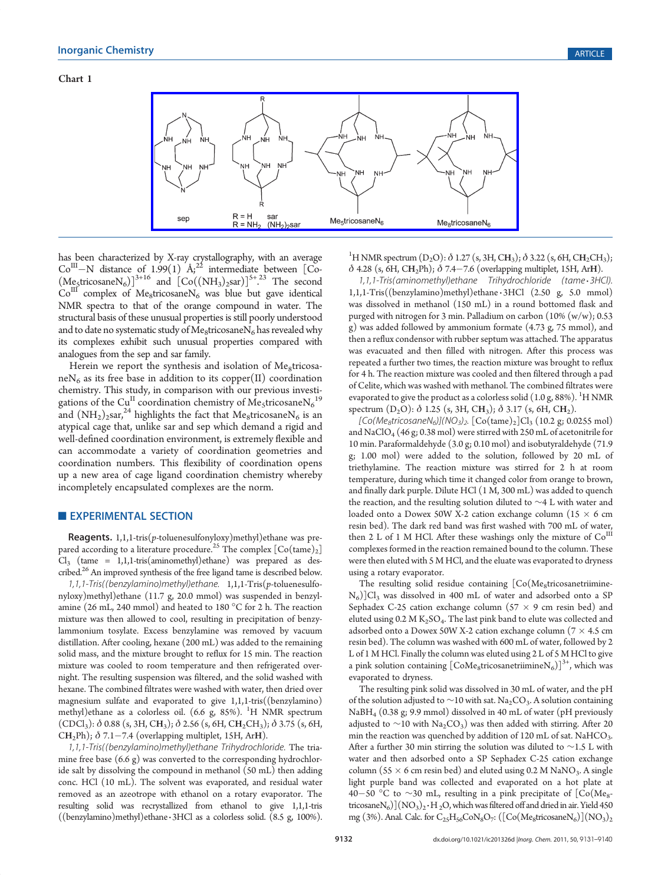

has been characterized by X-ray crystallography, with an average  $Co<sup>III</sup>-N$  distance of 1.99(1)  $A<sub>i</sub><sup>22</sup>$  intermediate between [Co- $(M_{\rm g5}tricosaneN_6)]^{3+16}$  and  $[Co((NH_3)_2\text{sar})]^{5+23}$  The second  $Co<sup>III</sup>$  complex of Me<sub>8</sub>tricosaneN<sub>6</sub> was blue but gave identical NMR spectra to that of the orange compound in water. The structural basis of these unusual properties is still poorly understood and to date no systematic study of  $Me<sub>8</sub>$ tricosane $N<sub>6</sub>$  has revealed why its complexes exhibit such unusual properties compared with analogues from the sep and sar family.

Herein we report the synthesis and isolation of Me<sub>8</sub>tricosa $neN<sub>6</sub>$  as its free base in addition to its copper(II) coordination chemistry. This study, in comparison with our previous investigations of the Cu<sup>II</sup> coordination chemistry of Me<sub>5</sub>tricosane $N_6^{19}$ and  $(NH<sub>2</sub>)<sub>2</sub>$ sar,<sup>24</sup> highlights the fact that Me<sub>8</sub>tricosaneN<sub>6</sub> is an atypical cage that, unlike sar and sep which demand a rigid and well-defined coordination environment, is extremely flexible and can accommodate a variety of coordination geometries and coordination numbers. This flexibility of coordination opens up a new area of cage ligand coordination chemistry whereby incompletely encapsulated complexes are the norm.

### **EXPERIMENTAL SECTION**

**Reagents.** 1,1,1-tris( $p$ -toluenesulfonyloxy)methyl)ethane was prepared according to a literature procedure.<sup>25</sup> The complex  $[Co(tame)_2]$  $Cl_3$  (tame = 1,1,1-tris(aminomethyl)ethane) was prepared as described.<sup>26</sup> An improved synthesis of the free ligand tame is described below.

1,1,1-Tris((benzylamino)methyl)ethane. 1,1,1-Tris(p-toluenesulfonyloxy)methyl)ethane (11.7 g, 20.0 mmol) was suspended in benzylamine (26 mL, 240 mmol) and heated to 180  $^{\circ}$ C for 2 h. The reaction mixture was then allowed to cool, resulting in precipitation of benzylammonium tosylate. Excess benzylamine was removed by vacuum distillation. After cooling, hexane (200 mL) was added to the remaining solid mass, and the mixture brought to reflux for 15 min. The reaction mixture was cooled to room temperature and then refrigerated overnight. The resulting suspension was filtered, and the solid washed with hexane. The combined filtrates were washed with water, then dried over magnesium sulfate and evaporated to give 1,1,1-tris((benzylamino) methyl)ethane as a colorless oil. (6.6 g, 85%). <sup>1</sup>H NMR spectrum  $(CDCI<sub>3</sub>)$ :  $\delta$  0.88 (s, 3H, CH<sub>3</sub>);  $\delta$  2.56 (s, 6H, CH<sub>2</sub>CH<sub>3</sub>);  $\delta$  3.75 (s, 6H, CH<sub>2</sub>Ph);  $\delta$  7.1-7.4 (overlapping multiplet, 15H, ArH).

1,1,1-Tris((benzylamino)methyl)ethane Trihydrochloride. The triamine free base (6.6 g) was converted to the corresponding hydrochloride salt by dissolving the compound in methanol (50 mL) then adding conc. HCl (10 mL). The solvent was evaporated, and residual water removed as an azeotrope with ethanol on a rotary evaporator. The resulting solid was recrystallized from ethanol to give 1,1,1-tris  $((\text{benzylamino})\text{methyl})$ ethane 3HCl as a colorless solid.  $(8.5 \text{ g}, 100\%)$ .

<sup>1</sup>H NMR spectrum (D<sub>2</sub>O):  $\delta$  1.27 (s, 3H, CH<sub>3</sub>);  $\delta$  3.22 (s, 6H, CH<sub>2</sub>CH<sub>3</sub>);  $\delta$  4.28 (s, 6H, CH<sub>2</sub>Ph);  $\delta$  7.4-7.6 (overlapping multiplet, 15H, ArH).

1,1,1-Tris(aminomethyl)ethane Trihydrochloride (tame <sup>3</sup> 3HCl). 1,1,1-Tris((benzylamino)methyl)ethane 3 3HCl (2.50 g, 5.0 mmol) was dissolved in methanol (150 mL) in a round bottomed flask and purged with nitrogen for 3 min. Palladium on carbon (10% (w/w); 0.53 g) was added followed by ammonium formate (4.73 g, 75 mmol), and then a reflux condensor with rubber septum was attached. The apparatus was evacuated and then filled with nitrogen. After this process was repeated a further two times, the reaction mixture was brought to reflux for 4 h. The reaction mixture was cooled and then filtered through a pad of Celite, which was washed with methanol. The combined filtrates were evaporated to give the product as a colorless solid  $(1.0$  g, 88%).  $^{1}$ H NMR spectrum  $(D_2O)$ :  $\delta$  1.25 (s, 3H, CH<sub>3</sub>);  $\delta$  3.17 (s, 6H, CH<sub>2</sub>).

 $[Co(Me<sub>8</sub>tricosaneN<sub>6</sub>)](NO<sub>3</sub>)$ <sub>2</sub>.  $[Co(tame)<sub>2</sub>]Cl<sub>3</sub>(10.2 g; 0.0255 mol)$ and  $NaClO<sub>4</sub>$  (46 g; 0.38 mol) were stirred with 250 mL of acetonitrile for 10 min. Paraformaldehyde (3.0 g; 0.10 mol) and isobutyraldehyde (71.9 g; 1.00 mol) were added to the solution, followed by 20 mL of triethylamine. The reaction mixture was stirred for 2 h at room temperature, during which time it changed color from orange to brown, and finally dark purple. Dilute HCl (1 M, 300 mL) was added to quench the reaction, and the resulting solution diluted to ∼4 L with water and loaded onto a Dowex 50W X-2 cation exchange column (15  $\times$  6 cm resin bed). The dark red band was first washed with 700 mL of water, then 2 L of 1 M HCl. After these washings only the mixture of  $Co<sup>H1</sup>$ complexes formed in the reaction remained bound to the column. These were then eluted with 5 M HCl, and the eluate was evaporated to dryness using a rotary evaporator.

The resulting solid residue containing  $[Co(Me_8tricosanetrimine N_6$ )]Cl<sub>3</sub> was dissolved in 400 mL of water and adsorbed onto a SP Sephadex C-25 cation exchange column ( $57 \times 9$  cm resin bed) and eluted using  $0.2 M K<sub>2</sub>SO<sub>4</sub>$ . The last pink band to elute was collected and adsorbed onto a Dowex 50W X-2 cation exchange column ( $7 \times 4.5$  cm resin bed). The column was washed with 600 mL of water, followed by 2 L of 1 M HCl. Finally the column was eluted using 2 L of 5 M HCl to give a pink solution containing  $[CoMe<sub>8</sub>tricosanetriumineN<sub>6</sub>)]<sup>3+</sup>$ , which was evaporated to dryness.

The resulting pink solid was dissolved in 30 mL of water, and the pH of the solution adjusted to ~10 with sat. Na<sub>2</sub>CO<sub>3</sub>. A solution containing NaBH4 (0.38 g; 9.9 mmol) dissolved in 40 mL of water (pH previously adjusted to  $\sim$ 10 with Na<sub>2</sub>CO<sub>3</sub>) was then added with stirring. After 20 min the reaction was quenched by addition of 120 mL of sat. NaHCO<sub>3</sub>. After a further 30 min stirring the solution was diluted to ∼1.5 L with water and then adsorbed onto a SP Sephadex C-25 cation exchange column (55  $\times$  6 cm resin bed) and eluted using 0.2 M NaNO<sub>3</sub>. A single light purple band was collected and evaporated on a hot plate at 40−50 °C to ~30 mL, resulting in a pink precipitate of  $[Co(Me<sub>8</sub>$ tricosane $N_6$ ] $(NO_3)_2 \cdot H_2O$ , which was filtered off and dried in air. Yield 450 mg (3%). Anal. Calc. for  $C_{25}H_{56}CoN_8O_7$ :  $([Co(Me_8tricosaneN_6)](NO_3)_2$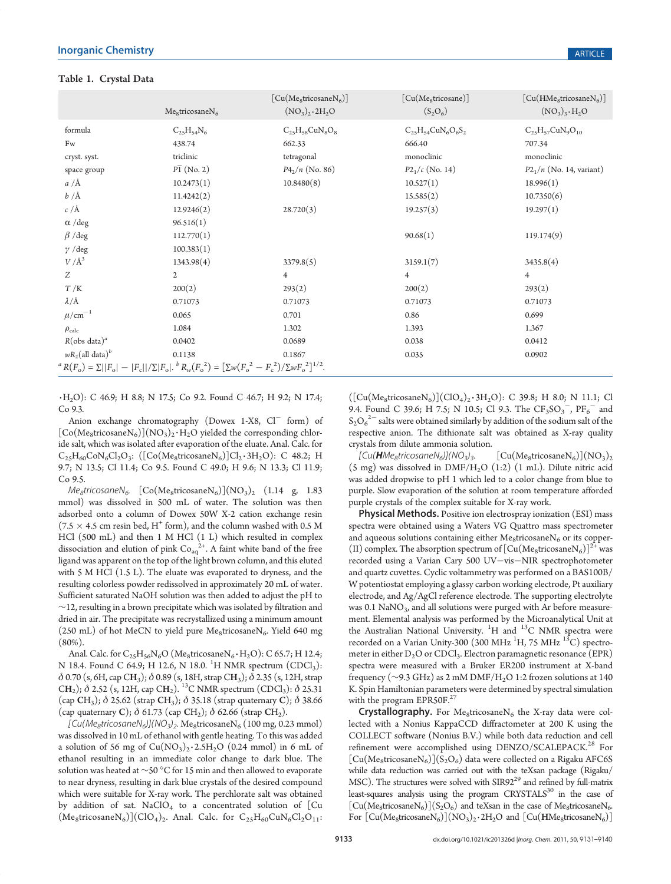|                                                                                                                                                         |                                         | $\lceil \text{Cu}(\text{Me}_8 \text{tricosaneN}_6) \rceil$ | [Cu(Me <sub>8</sub> tricosane)] | $\lceil \text{Cu}(\text{HMe}_8 \text{tricosaneN}_6) \rceil$ |  |
|---------------------------------------------------------------------------------------------------------------------------------------------------------|-----------------------------------------|------------------------------------------------------------|---------------------------------|-------------------------------------------------------------|--|
|                                                                                                                                                         | Me <sub>8</sub> tricosaneN <sub>6</sub> | $(NO_3)_2 \cdot 2H_2O$                                     | $(S_2O_6)$                      | $(NO_3)_3 \cdot H_2O$                                       |  |
| formula                                                                                                                                                 | $C_{25}H_{54}N_6$                       | $C_{25}H_{58}CuN_8O_8$                                     | $C_{25}H_{54}CuN_6O_6S_2$       | $C_{25}H_{57}CuN_9O_{10}$                                   |  |
| Fw                                                                                                                                                      | 438.74                                  | 662.33                                                     | 666.40                          | 707.34                                                      |  |
| cryst. syst.                                                                                                                                            | triclinic                               | tetragonal                                                 | monoclinic                      | monoclinic                                                  |  |
| space group                                                                                                                                             | $P\overline{1}$ (No. 2)                 | $P4_2/n$ (No. 86)                                          | $P2_1/c$ (No. 14)               | $P2_1/n$ (No. 14, variant)                                  |  |
| $a/\text{\AA}$                                                                                                                                          | 10.2473(1)                              | 10.8480(8)                                                 | 10.527(1)                       | 18.996(1)                                                   |  |
| $b/\AA$                                                                                                                                                 | 11.4242(2)                              |                                                            | 15.585(2)                       | 10.7350(6)                                                  |  |
| $c/\text{\AA}$                                                                                                                                          | 12.9246(2)                              | 28.720(3)                                                  | 19.257(3)                       | 19.297(1)                                                   |  |
| $\alpha$ /deg                                                                                                                                           | 96.516(1)                               |                                                            |                                 |                                                             |  |
| $\beta$ /deg                                                                                                                                            | 112.770(1)                              |                                                            | 90.68(1)                        | 119.174(9)                                                  |  |
| $\gamma$ /deg                                                                                                                                           | 100.383(1)                              |                                                            |                                 |                                                             |  |
| $V/\AA^3$                                                                                                                                               | 1343.98(4)                              | 3379.8(5)                                                  | 3159.1(7)                       | 3435.8(4)                                                   |  |
| Z                                                                                                                                                       | $\overline{2}$                          | $\overline{4}$                                             | $\overline{4}$                  | $\overline{4}$                                              |  |
| T/K                                                                                                                                                     | 200(2)                                  | 293(2)                                                     | 200(2)                          | 293(2)                                                      |  |
| $\lambda/\text{\AA}$                                                                                                                                    | 0.71073                                 | 0.71073                                                    | 0.71073                         | 0.71073                                                     |  |
| $\mu$ /cm <sup>-1</sup>                                                                                                                                 | 0.065                                   | 0.701                                                      | 0.86                            | 0.699                                                       |  |
| $\rho_{\rm calc}$                                                                                                                                       | 1.084                                   | 1.302                                                      | 1.393                           | 1.367                                                       |  |
| $R(\text{obs data})^a$                                                                                                                                  | 0.0402                                  | 0.0689                                                     | 0.038                           | 0.0412                                                      |  |
| $wR_2$ (all data) <sup>b</sup>                                                                                                                          | 0.1138                                  | 0.1867                                                     | 0.035                           | 0.0902                                                      |  |
| ${}^{a}R(F_{o}) = \Sigma   F_{o}  -  F_{c}  /\Sigma  F_{o} $ . ${}^{b}R_{w}(F_{o}^{2}) = [\Sigma w (F_{o}^{2} - F_{c}^{2})/\Sigma w F_{o}^{2}]^{1/2}$ . |                                         |                                                            |                                 |                                                             |  |

3 H2O): C 46.9; H 8.8; N 17.5; Co 9.2. Found C 46.7; H 9.2; N 17.4; Co 9.3.

Anion exchange chromatography (Dowex 1-X8, Cl<sup>-</sup> form) of  $[Co(Me<sub>8</sub>tricosaneN<sub>6</sub>)](NO<sub>3</sub>)<sub>2</sub>·H<sub>2</sub>O yielded the corresponding chlor$ ide salt, which was isolated after evaporation of the eluate. Anal. Calc. for  $C_{25}H_{60}CoN_{6}Cl_{2}O_{3}$ : ([Co(Me<sub>8</sub>tricosaneN<sub>6</sub>)]Cl<sub>2</sub>·3H<sub>2</sub>O): C 48.2; H 9.7; N 13.5; Cl 11.4; Co 9.5. Found C 49.0; H 9.6; N 13.3; Cl 11.9; Co 9.5.

 $Me<sub>8</sub>tricosane<sub>6</sub>$ . [Co(Me<sub>8</sub>tricosaneN<sub>6</sub>)](NO<sub>3</sub>)<sub>2</sub> (1.14 g, 1.83 mmol) was dissolved in 500 mL of water. The solution was then adsorbed onto a column of Dowex 50W X-2 cation exchange resin (7.5  $\times$  4.5 cm resin bed, H<sup>+</sup> form), and the column washed with 0.5 M HCl (500 mL) and then 1 M HCl (1 L) which resulted in complex dissociation and elution of pink  $Co_{aq}^{2+}$ . A faint white band of the free ligand was apparent on the top of the light brown column, and this eluted with 5 M HCl (1.5 L). The eluate was evaporated to dryness, and the resulting colorless powder redissolved in approximately 20 mL of water. Sufficient saturated NaOH solution was then added to adjust the pH to ∼12, resulting in a brown precipitate which was isolated by filtration and dried in air. The precipitate was recrystallized using a minimum amount (250 mL) of hot MeCN to yield pure Me<sub>8</sub>tricosaneN<sub>6</sub>. Yield 640 mg (80%).

Anal. Calc. for  $\text{C}_{25}\text{H}_{56}\text{N}_6\text{O}$  (Me<sub>8</sub>tricosane $\text{N}_6\cdot\text{H}_2\text{O}$ ): C 65.7; H 12.4; N 18.4. Found C 64.9; H 12.6, N 18.0.  $^{1}$ H NMR spectrum (CDCl<sub>3</sub>):  $\delta$  0.70 (s, 6H, cap CH<sub>3</sub>);  $\delta$  0.89 (s, 18H, strap CH<sub>3</sub>);  $\delta$  2.35 (s, 12H, strap CH<sub>2</sub>);  $\delta$  2.52 (s, 12H, cap CH<sub>2</sub>). <sup>13</sup>C NMR spectrum (CDCl<sub>3</sub>):  $\delta$  25.31 (cap CH<sub>3</sub>);  $\delta$  25.62 (strap CH<sub>3</sub>);  $\delta$  35.18 (strap quaternary C);  $\delta$  38.66 (cap quaternary C);  $\delta$  61.73 (cap CH<sub>2</sub>);  $\delta$  62.66 (strap CH<sub>2</sub>).

 $[Cu(Me<sub>8</sub>tricosaneN<sub>6</sub>)](NO<sub>3</sub>)<sub>2</sub>$ . Me<sub>8</sub>tricosaneN<sub>6</sub> (100 mg, 0.23 mmol) was dissolved in 10 mL of ethanol with gentle heating. To this was added a solution of 56 mg of  $Cu(NO<sub>3</sub>)<sub>2</sub> \cdot 2.5H<sub>2</sub>O$  (0.24 mmol) in 6 mL of ethanol resulting in an immediate color change to dark blue. The solution was heated at ∼50 °C for 15 min and then allowed to evaporate to near dryness, resulting in dark blue crystals of the desired compound which were suitable for X-ray work. The perchlorate salt was obtained by addition of sat. NaClO<sub>4</sub> to a concentrated solution of  $[Cu]$  $(Me_8$ tricosane $N_6$ ](ClO<sub>4</sub>)<sub>2</sub>. Anal. Calc. for C<sub>25</sub>H<sub>60</sub>CuN<sub>6</sub>Cl<sub>2</sub>O<sub>11</sub>:  $([Cu(Me<sub>8</sub>tricosaneN<sub>6</sub>)](ClO<sub>4</sub>)<sub>2</sub>·3H<sub>2</sub>O): C 39.8; H 8.0; N 11.1; Cl$ 9.4. Found C 39.6; H 7.5; N 10.5; Cl 9.3. The  $CF_3SO_3^-$ ,  $PF_6^-$  and  $\mathrm{S_2O_6}^{2-}$  salts were obtained similarly by addition of the sodium salt of the respective anion. The dithionate salt was obtained as X-ray quality crystals from dilute ammonia solution.

 $[Cu(\textbf{H}Me_8tricosaneN_6)](NO_3)_3.$  [Cu(Me<sub>8</sub>tricosaneN<sub>6</sub>)](NO<sub>3</sub>)<sub>2</sub> (5 mg) was dissolved in  $\text{DMF/H}_2\text{O}$  (1:2) (1 mL). Dilute nitric acid was added dropwise to pH 1 which led to a color change from blue to purple. Slow evaporation of the solution at room temperature afforded purple crystals of the complex suitable for X-ray work.

Physical Methods. Positive ion electrospray ionization (ESI) mass spectra were obtained using a Waters VG Quattro mass spectrometer and aqueous solutions containing either  $Me<sub>8</sub>$ tricosane $N<sub>6</sub>$  or its copper-(II) complex. The absorption spectrum of  $[Cu(Me_8tricosaneN<sub>6</sub>)]<sup>2+</sup>$  was recorded using a Varian Cary 500 UV-vis-NIR spectrophotometer and quartz cuvettes. Cyclic voltammetry was performed on a BAS100B/ W potentiostat employing a glassy carbon working electrode, Pt auxiliary electrode, and Ag/AgCl reference electrode. The supporting electrolyte was  $0.1$  NaNO<sub>3</sub>, and all solutions were purged with Ar before measurement. Elemental analysis was performed by the Microanalytical Unit at the Australian National University. <sup>1</sup>H and <sup>13</sup>C NMR spectra were recorded on a Varian Unity-300 (300 MHz  $^{1}$ H, 75 MHz  $^{13}$ C) spectrometer in either  $D_2O$  or  $CDCl_3$ . Electron paramagnetic resonance (EPR) spectra were measured with a Bruker ER200 instrument at X-band frequency ( $\sim$ 9.3 GHz) as 2 mM DMF/H<sub>2</sub>O 1:2 frozen solutions at 140 K. Spin Hamiltonian parameters were determined by spectral simulation with the program EPR50F.<sup>27</sup>

**Crystallography.** For Me<sub>8</sub>tricosaneN<sub>6</sub> the X-ray data were collected with a Nonius KappaCCD diffractometer at 200 K using the COLLECT software (Nonius B.V.) while both data reduction and cell refinement were accomplished using DENZO/SCALEPACK.<sup>28</sup> For  $[Cu(Me<sub>8</sub>tricosaneN<sub>6</sub>)](S<sub>2</sub>O<sub>6</sub>)$  data were collected on a Rigaku AFC6S while data reduction was carried out with the teXsan package (Rigaku/ MSC). The structures were solved with SIR92<sup>29</sup> and refined by full-matrix least-squares analysis using the program CRYSTALS<sup>30</sup> in the case of  $[Cu(Me<sub>8</sub>tricosaneN<sub>6</sub>)](S<sub>2</sub>O<sub>6</sub>)$  and teXsan in the case of Me<sub>8</sub>tricosaneN<sub>6</sub>. For  $[Cu(Me<sub>8</sub>tricosaneN<sub>6</sub>)](NO<sub>3</sub>)<sub>2</sub>·2H<sub>2</sub>O$  and  $[Cu(HMe<sub>8</sub>tricosaneN<sub>6</sub>)]$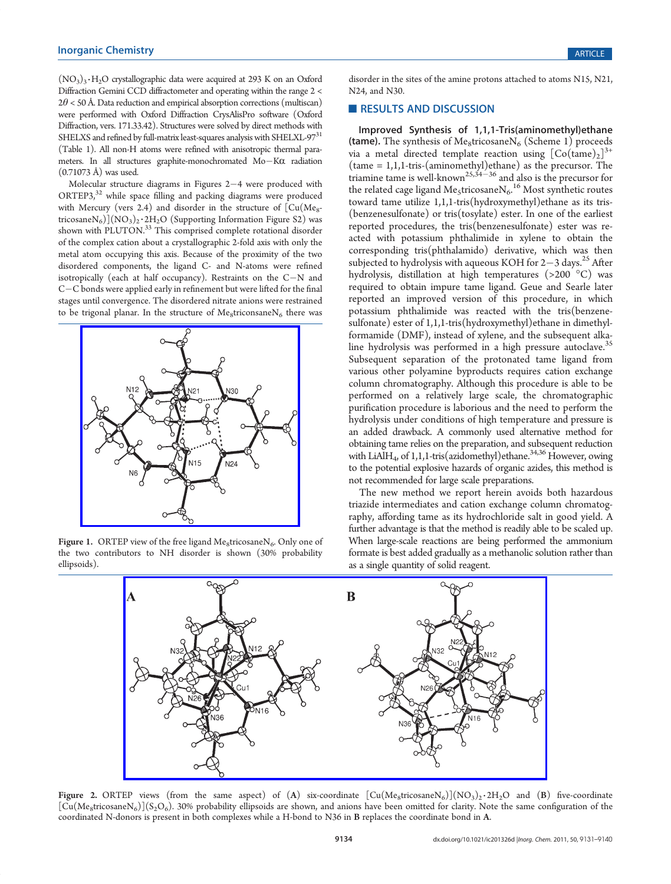$(NO<sub>3</sub>)<sub>3</sub>·H<sub>2</sub>O$  crystallographic data were acquired at 293 K on an Oxford Diffraction Gemini CCD diffractometer and operating within the range 2 <  $2\theta$  < 50 Å. Data reduction and empirical absorption corrections (multiscan) were performed with Oxford Diffraction CrysAlisPro software (Oxford Diffraction, vers. 171.33.42). Structures were solved by direct methods with SHELXS and refined by full-matrix least-squares analysis with SHELXL-97<sup>31</sup> (Table 1). All non-H atoms were refined with anisotropic thermal parameters. In all structures graphite-monochromated  $Mo-K\alpha$  radiation (0.71073 Å) was used.

Molecular structure diagrams in Figures  $2-4$  were produced with ORTEP3,<sup>32</sup> while space filling and packing diagrams were produced with Mercury (vers 2.4) and disorder in the structure of  $\overline{\rm [Cu(Me_{8}-H)C_{0}]}$ tricosane $\rm N_6)[(NO_3)_2\cdot 2H_2O$  (Supporting Information Figure S2) was shown with PLUTON.<sup>33</sup> This comprised complete rotational disorder of the complex cation about a crystallographic 2-fold axis with only the metal atom occupying this axis. Because of the proximity of the two disordered components, the ligand C- and N-atoms were refined isotropically (each at half occupancy). Restraints on the  $C-N$  and C-C bonds were applied early in refinement but were lifted for the final stages until convergence. The disordered nitrate anions were restrained to be trigonal planar. In the structure of  $Me<sub>8</sub>$ triconsane $N<sub>6</sub>$  there was



Figure 1. ORTEP view of the free ligand  $Me<sub>8</sub>$ tricosane $N<sub>6</sub>$ . Only one of the two contributors to NH disorder is shown (30% probability ellipsoids).

disorder in the sites of the amine protons attached to atoms N15, N21, N24, and N30.

#### RESULTS AND DISCUSSION

Improved Synthesis of 1,1,1-Tris(aminomethyl)ethane (tame). The synthesis of Me<sub>8</sub>tricosane $N_6$  (Scheme 1) proceeds via a metal directed template reaction using  $[Co(\text{tame})_2]^{3+}$ (tame = 1,1,1-tris-(aminomethyl)ethane) as the precursor. The triamine tame is well-known<sup>25,34-36</sup> and also is the precursor for the related cage ligand  $\mathrm{Me}_5$ tricosane $\mathrm{N_6}^{16}$  Most synthetic routes toward tame utilize 1,1,1-tris(hydroxymethyl)ethane as its tris- (benzenesulfonate) or tris(tosylate) ester. In one of the earliest reported procedures, the tris(benzenesulfonate) ester was reacted with potassium phthalimide in xylene to obtain the corresponding tris(phthalamido) derivative, which was then subjected to hydrolysis with aqueous KOH for  $2-3$  days.<sup>25</sup> After hydrolysis, distillation at high temperatures  $(>200\degree \text{C})$  was required to obtain impure tame ligand. Geue and Searle later reported an improved version of this procedure, in which potassium phthalimide was reacted with the tris(benzenesulfonate) ester of 1,1,1-tris(hydroxymethyl)ethane in dimethylformamide (DMF), instead of xylene, and the subsequent alkaline hydrolysis was performed in a high pressure autoclave.<sup>35</sup> Subsequent separation of the protonated tame ligand from various other polyamine byproducts requires cation exchange column chromatography. Although this procedure is able to be performed on a relatively large scale, the chromatographic purification procedure is laborious and the need to perform the hydrolysis under conditions of high temperature and pressure is an added drawback. A commonly used alternative method for obtaining tame relies on the preparation, and subsequent reduction with LiAlH<sub>4</sub>, of 1,1,1-tris(azidomethyl)ethane.<sup>34,36</sup> However, owing to the potential explosive hazards of organic azides, this method is not recommended for large scale preparations.

The new method we report herein avoids both hazardous triazide intermediates and cation exchange column chromatography, affording tame as its hydrochloride salt in good yield. A further advantage is that the method is readily able to be scaled up. When large-scale reactions are being performed the ammonium formate is best added gradually as a methanolic solution rather than as a single quantity of solid reagent.



Figure 2. ORTEP views (from the same aspect) of (A) six-coordinate  $[Cu(Me_8tricosaneN<sub>6</sub>)](NO<sub>3</sub>)<sub>2</sub>·2H<sub>2</sub>O$  and (B) five-coordinate  $[Cu(Me<sub>8</sub>tricosaneN<sub>6</sub>)](S<sub>2</sub>O<sub>6</sub>)$ . 30% probability ellipsoids are shown, and anions have been omitted for clarity. Note the same configuration of the coordinated N-donors is present in both complexes while a H-bond to N36 in B replaces the coordinate bond in A.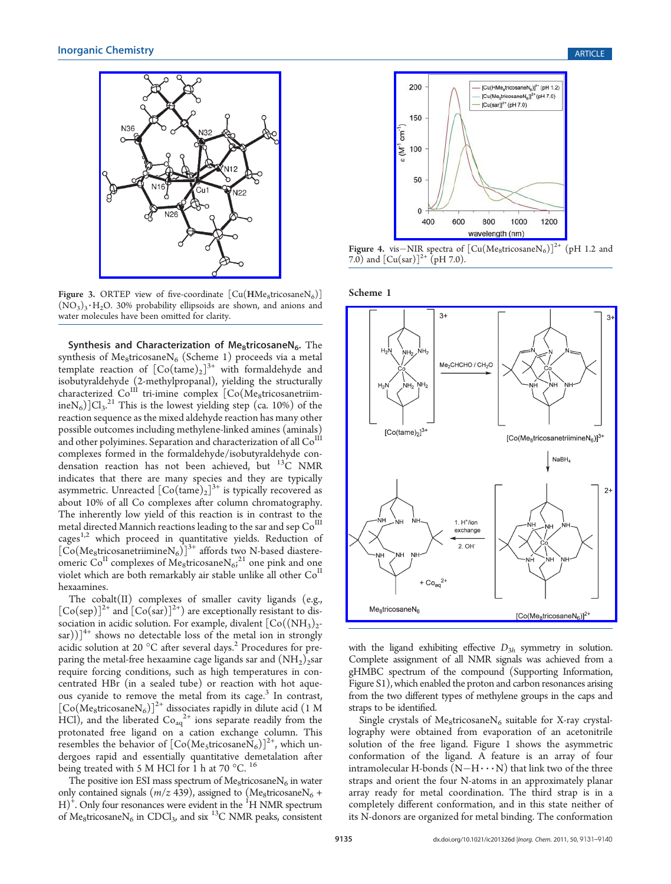N36





N2i

Synthesis and Characterization of Me<sub>8</sub>tricosaneN<sub>6</sub>. The synthesis of Me<sub>8</sub>tricosane $N_6$  (Scheme 1) proceeds via a metal template reaction of  $[Co(tame)_2]^{3+}$  with formaldehyde and isobutyraldehyde (2-methylpropanal), yielding the structurally  $\text{characterized } \text{Co}^{\text{III}} \text{ } \text{tri}-\text{imine } \text{ complex } \text{ } [\text{Co}(\text{Me}_{\text{8}}\text{triosan} \text{etriv}]$ ine $N_6$ ] $Cl_3$ .<sup>21</sup> This is the lowest yielding step (ca. 10%) of the reaction sequence as the mixed aldehyde reaction has many other possible outcomes including methylene-linked amines (aminals) and other polyimines. Separation and characterization of all  $\mathrm{Co}^{\mathrm{I\hspace{-.1em}I\hspace{-.1em}I}}$ complexes formed in the formaldehyde/isobutyraldehyde condensation reaction has not been achieved, but  $13C$  NMR indicates that there are many species and they are typically asymmetric. Unreacted  $\left[Co(\text{tame})_2\right]^{3+}$  is typically recovered as about 10% of all Co complexes after column chromatography. The inherently low yield of this reaction is in contrast to the metal directed Mannich reactions leading to the sar and sep  $\mathrm{Co}^{\mathrm{III}}$ cages<sup>1,2</sup> which proceed in quantitative yields. Reduction of  $\left[\overline{\text{Co}}(\text{Me}_{8}\text{tricosan}(\text{triminenN}_{6}))\right]^{3+}$  affords two N-based diastereomeric  $Co<sup>H</sup>$  complexes of Me<sub>8</sub>tricosane $N_{6i}^{21}$  one pink and one violet which are both remarkably air stable unlike all other  $Co<sup>H</sup>$ hexaamines.

The cobalt(II) complexes of smaller cavity ligands (e.g.,  $[Co(\text{sep})]^{2+}$  and  $[Co(\text{sar})]^{2+}$  are exceptionally resistant to dissociation in acidic solution. For example, divalent  $[Co((NH<sub>3</sub>)<sub>2</sub>$ sar))] $^{4+}$  shows no detectable loss of the metal ion in strongly acidic solution at 20  $^{\circ}$ C after several days.<sup>2</sup> Procedures for preparing the metal-free hexaamine cage ligands sar and  $(NH_2)$ <sub>2</sub>sar require forcing conditions, such as high temperatures in concentrated HBr (in a sealed tube) or reaction with hot aqueous cyanide to remove the metal from its cage.<sup>3</sup> In contrast,  $\left[\text{Co}(\text{Me}_8 \text{tricosaneN}_6)\right]^{2+}$  dissociates rapidly in dilute acid (1 M HCl), and the liberated  $Co_{aq}^{2+}$  ions separate readily from the protonated free ligand on a cation exchange column. This resembles the behavior of  $[Co(Me<sub>5</sub>tricosaneN<sub>6</sub>)]<sup>2+</sup>$ , which undergoes rapid and essentially quantitative demetalation after being treated with 5 M HCl for 1 h at 70  $^{\circ}$ C. <sup>16</sup>

The positive ion ESI mass spectrum of  $Me<sub>8</sub>$ tricosane $N<sub>6</sub>$  in water only contained signals ( $m/z$  439), assigned to (Me<sub>8</sub>tricosane $N_6$  +  $H$ <sup>+</sup>. Only four resonances were evident in the <sup>1</sup>H NMR spectrum of Me<sub>8</sub>tricosane $N_6$  in CDCl<sub>3</sub>, and six <sup>13</sup>C NMR peaks, consistent



Figure 4. vis-NIR spectra of  $[Cu(Me_8tricosaneN<sub>6</sub>)]^{2+}$  (pH 1.2 and 7.0) and  $[Cu(sar)]^{2+}$  (pH 7.0).

Scheme 1



with the ligand exhibiting effective  $D_{3h}$  symmetry in solution. Complete assignment of all NMR signals was achieved from a gHMBC spectrum of the compound (Supporting Information, Figure S1), which enabled the proton and carbon resonances arising from the two different types of methylene groups in the caps and straps to be identified.

Single crystals of Me<sub>8</sub>tricosane $N_6$  suitable for X-ray crystallography were obtained from evaporation of an acetonitrile solution of the free ligand. Figure 1 shows the asymmetric conformation of the ligand. A feature is an array of four intramolecular H-bonds  $(N-H\cdots N)$  that link two of the three straps and orient the four N-atoms in an approximately planar array ready for metal coordination. The third strap is in a completely different conformation, and in this state neither of its N-donors are organized for metal binding. The conformation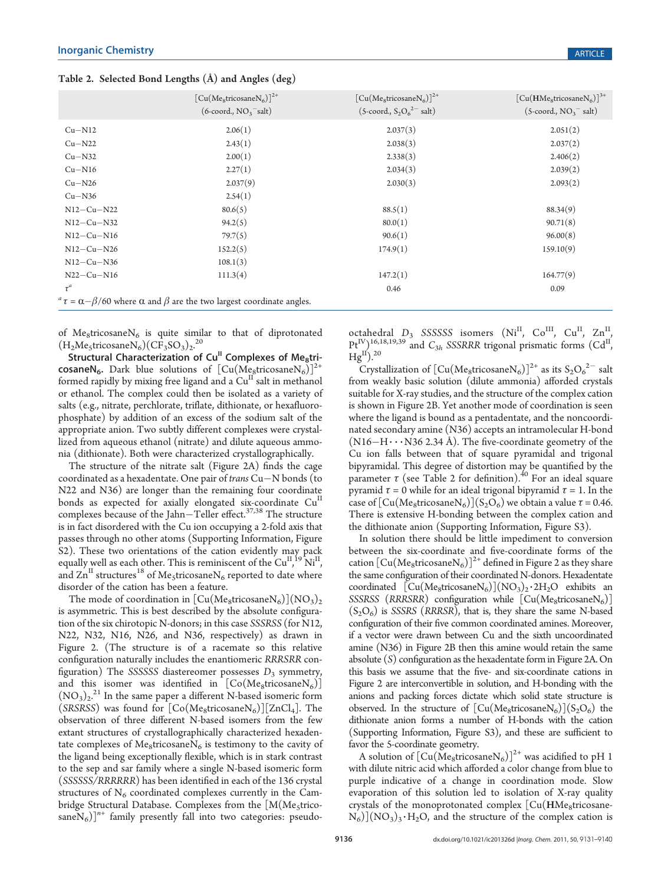Table 2. Selected Bond Lengths (Å) and Angles (deg)

| $[Cu(Me8tricosaneN6)]^{2+}$                                                                           | $[Cu(Me8tricosaneN6)]^{2+}$       | $[Cu(HMe8tricosaneN6)]^{3+}$ |
|-------------------------------------------------------------------------------------------------------|-----------------------------------|------------------------------|
| $(6$ -coord., $NO3$ <sup>-salt</sup> )                                                                | $(5$ -coord., $S_2O_6^{2-}$ salt) | $(5$ -coord., $NO3-$ salt)   |
| 2.06(1)                                                                                               | 2.037(3)                          | 2.051(2)                     |
| 2.43(1)                                                                                               | 2.038(3)                          | 2.037(2)                     |
| 2.00(1)                                                                                               | 2.338(3)                          | 2.406(2)                     |
| 2.27(1)                                                                                               | 2.034(3)                          | 2.039(2)                     |
| 2.037(9)                                                                                              | 2.030(3)                          | 2.093(2)                     |
| 2.54(1)                                                                                               |                                   |                              |
| 80.6(5)                                                                                               | 88.5(1)                           | 88.34(9)                     |
| 94.2(5)                                                                                               | 80.0(1)                           | 90.71(8)                     |
| 79.7(5)                                                                                               | 90.6(1)                           | 96.00(8)                     |
| 152.2(5)                                                                                              | 174.9(1)                          | 159.10(9)                    |
| 108.1(3)                                                                                              |                                   |                              |
| 111.3(4)                                                                                              | 147.2(1)                          | 164.77(9)                    |
|                                                                                                       | 0.46                              | 0.09                         |
| $\alpha^a \tau = \alpha - \beta/60$ where $\alpha$ and $\beta$ are the two largest coordinate angles. |                                   |                              |
|                                                                                                       |                                   |                              |

of  $Me<sub>8</sub>tricosaneN<sub>6</sub>$  is quite similar to that of diprotonated  $(H<sub>2</sub>Me<sub>5</sub>tricosaneN<sub>6</sub>)(CF<sub>3</sub>SO<sub>3</sub>)<sub>2</sub>.<sup>20</sup>$ 

Structural Characterization of Cu<sup>II</sup> Complexes of Me<sub>8</sub>tricosaneN<sub>6</sub>. Dark blue solutions of  $[Cu(Me<sub>8</sub>tricosaneN<sub>6</sub>)]<sup>2+</sup>$ formed rapidly by mixing free ligand and a  $Cu^{II}$  salt in methanol or ethanol. The complex could then be isolated as a variety of salts (e.g., nitrate, perchlorate, triflate, dithionate, or hexafluorophosphate) by addition of an excess of the sodium salt of the appropriate anion. Two subtly different complexes were crystallized from aqueous ethanol (nitrate) and dilute aqueous ammonia (dithionate). Both were characterized crystallographically.

The structure of the nitrate salt (Figure 2A) finds the cage coordinated as a hexadentate. One pair of *trans*  $Cu-N$  bonds (to N22 and N36) are longer than the remaining four coordinate bonds as expected for axially elongated six-coordinate Cu<sup>II</sup> complexes because of the Jahn-Teller effect. $37,38$  The structure is in fact disordered with the Cu ion occupying a 2-fold axis that passes through no other atoms (Supporting Information, Figure S2). These two orientations of the cation evidently may pack equally well as each other. This is reminiscent of the  $\text{Cu}^{\text{II}}$ ,  $\text{O}^{\text{II}}$ , , and  $\text{Zn}^{\text{II}}$  structures<sup>18</sup> of Me<sub>5</sub>tricosaneN<sub>6</sub> reported to date where disorder of the cation has been a feature.

The mode of coordination in  $\left[\text{Cu}(M_{\text{e}}\text{g}t\text{ricosaneN}_6)\right](N\text{O}_3)_2$ is asymmetric. This is best described by the absolute configuration of the six chirotopic N-donors; in this case SSSRSS (for N12, N22, N32, N16, N26, and N36, respectively) as drawn in Figure 2. (The structure is of a racemate so this relative configuration naturally includes the enantiomeric RRRSRR configuration) The SSSSSS diastereomer possesses  $D_3$  symmetry, and this isomer was identified in  $[Co(Me_8tricosaneN<sub>6</sub>)]$  $(NO<sub>3</sub>)<sub>2</sub><sup>21</sup>$  In the same paper a different N-based isomeric form (SRSRSS) was found for  $[Co(Me<sub>8</sub>tricosaneN<sub>6</sub>)][ZnCl<sub>4</sub>].$  The observation of three different N-based isomers from the few extant structures of crystallographically characterized hexadentate complexes of Me<sub>8</sub>tricosane $N_6$  is testimony to the cavity of the ligand being exceptionally flexible, which is in stark contrast to the sep and sar family where a single N-based isomeric form (SSSSSS/RRRRRR) has been identified in each of the 136 crystal structures of  $N<sub>6</sub>$  coordinated complexes currently in the Cambridge Structural Database. Complexes from the  $[M(Me<sub>5</sub>trico$ sane $N_6$ ]<sup>n+</sup> family presently fall into two categories: pseudo-

octahedral  $D_3$  SSSSSS isomers (Ni<sup>II</sup>, Co<sup>III</sup>, Cu<sup>II</sup>, Zn<sup>II</sup>  $Pt^{IV}_{II}$ <sup>16,18,19,39</sup> and  $C_{3h}$  SSSRRR trigonal prismatic forms (Cd<sup>II</sup>) ,  $Hg^{II}$ ).<sup>20</sup>

Crystallization of  $[Cu(Me_8tricosaneN_6)]^{2+}$  as its  $S_2O_6^{2-}$  salt from weakly basic solution (dilute ammonia) afforded crystals suitable for X-ray studies, and the structure of the complex cation is shown in Figure 2B. Yet another mode of coordination is seen where the ligand is bound as a pentadentate, and the noncoordinated secondary amine (N36) accepts an intramolecular H-bond  $(N16-H\cdots N36 2.34 \text{ Å})$ . The five-coordinate geometry of the Cu ion falls between that of square pyramidal and trigonal bipyramidal. This degree of distortion may be quantified by the parameter  $\tau$  (see Table 2 for definition).<sup>40</sup> For an ideal square pyramid  $\tau = 0$  while for an ideal trigonal bipyramid  $\tau = 1$ . In the case of  $\left[\text{Cu}(M\text{e}_8\text{tricosaneN}_6)\right](S_2O_6)$  we obtain a value  $\tau$  = 0.46. There is extensive H-bonding between the complex cation and the dithionate anion (Supporting Information, Figure S3).

In solution there should be little impediment to conversion between the six-coordinate and five-coordinate forms of the cation  $\left[\text{Cu}(M\text{e}_8\text{tricosaneN}_6)\right]^{2+}$  defined in Figure 2 as they share the same configuration of their coordinated N-donors. Hexadentate coordinated  $[\text{Cu}(M_{\text{e}_8}\text{tricosaneN}_6)](N_{\text{O}_3})_2 \cdot 2H_2O$  exhibits an SSSRSS (RRRSRR) configuration while  $[Cu(Me<sub>8</sub>tricosaneN<sub>6</sub>)]$  $(S_2O_6)$  is SSSRS (RRRSR), that is, they share the same N-based configuration of their five common coordinated amines. Moreover, if a vector were drawn between Cu and the sixth uncoordinated amine (N36) in Figure 2B then this amine would retain the same absolute (S) configuration as the hexadentate form in Figure 2A. On this basis we assume that the five- and six-coordinate cations in Figure 2 are interconvertible in solution, and H-bonding with the anions and packing forces dictate which solid state structure is observed. In the structure of  $[Cu(Me<sub>8</sub>tricosaneN<sub>6</sub>)](S<sub>2</sub>O<sub>6</sub>)$  the dithionate anion forms a number of H-bonds with the cation (Supporting Information, Figure S3), and these are sufficient to favor the 5-coordinate geometry.

A solution of  $\left[\text{Cu}(\text{Me}_8 \text{tricosaneN}_6)\right]^{2+}$  was acidified to pH 1 with dilute nitric acid which afforded a color change from blue to purple indicative of a change in coordination mode. Slow evaporation of this solution led to isolation of X-ray quality crystals of the monoprotonated complex  $[Cu(HMe<sub>8</sub>tricosane N_6$ )](NO<sub>3</sub>)<sub>3</sub> · H<sub>2</sub>O, and the structure of the complex cation is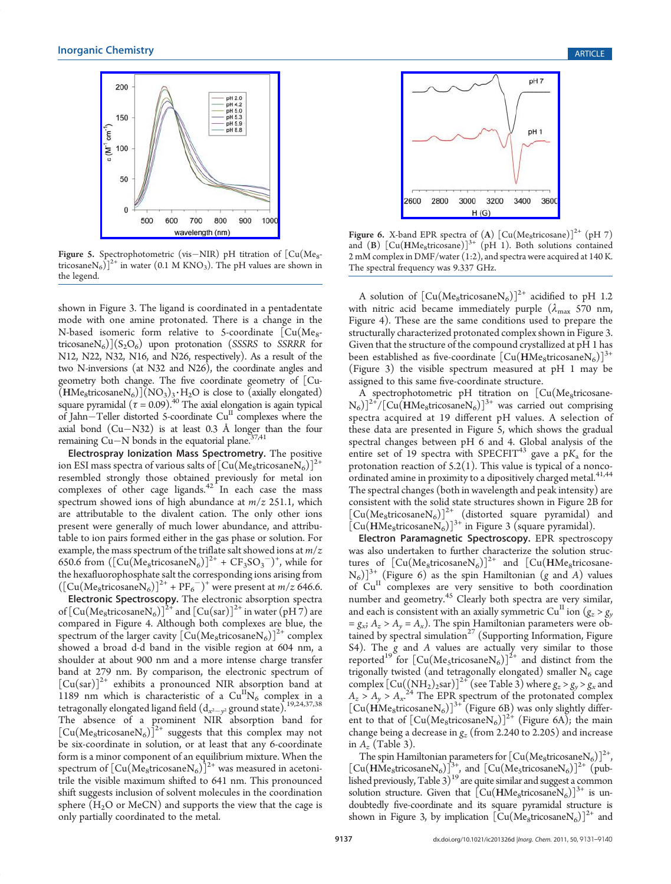

Figure 5. Spectrophotometric (vis-NIR) pH titration of  $[Cu(Me_8$ tricosane $N_6$ ]<sup>2+</sup> in water (0.1 M KNO<sub>3</sub>). The pH values are shown in the legend.

shown in Figure 3. The ligand is coordinated in a pentadentate mode with one amine protonated. There is a change in the N-based isomeric form relative to 5-coordinate  $\left[ \text{Cu}(\text{Me}_8\text{-}t)\right]$ tricosane $N_6$ ) $(S_2O_6)$  upon protonation (SSSRS to SSRRR for N12, N22, N32, N16, and N26, respectively). As a result of the two N-inversions (at N32 and N26), the coordinate angles and geometry both change. The five coordinate geometry of [Cu-  $(HMe<sub>8</sub>tricosaneN<sub>6</sub>)](NO<sub>3</sub>)<sub>3</sub>·H<sub>2</sub>O$  is close to (axially elongated) square pyramidal  $(\tau = 0.09)$ .<sup>40</sup> The axial elongation is again typical of Jahn $-$ Teller distorted 5-coordinate  $Cu$ <sup>II</sup> complexes where the axial bond  $(Cu-N32)$  is at least 0.3 Å longer than the four remaining  $Cu-N$  bonds in the equatorial plane.<sup>37,41</sup>

Electrospray Ionization Mass Spectrometry. The positive ion ESI mass spectra of various salts of  $\left[\text{Cu}(\text{Me}_8 \text{tricosaneN}_6)\right]^{2+}$ resembled strongly those obtained previously for metal ion complexes of other cage ligands. $42$  In each case the mass spectrum showed ions of high abundance at  $m/z$  251.1, which are attributable to the divalent cation. The only other ions present were generally of much lower abundance, and attributable to ion pairs formed either in the gas phase or solution. For example, the mass spectrum of the triflate salt showed ions at  $m/z$ 650.6 from  $([Cu(\text{Me}_8 \text{tricosaneN}_6)]^{2+} + CF_3 SO_3^{-})^+$ , while for the hexafluorophosphate salt the corresponding ions arising from  $([Cu(Me<sub>8</sub>tricosaneN<sub>6</sub>)]<sup>2+</sup> + PF<sub>6</sub><sup>-</sup>)<sup>+</sup>$  were present at  $m/z$  646.6.

Electronic Spectroscopy. The electronic absorption spectra of  $\left[\mathrm{Cu}(\mathrm{Me}_8\mathrm{tricosaneN}_6)\right]^{2+}$  and  $\left[\mathrm{Cu}(\mathrm{sar})\right]^{2+}$  in water  $\left(\mathrm{pH}\right)$  are compared in Figure 4. Although both complexes are blue, the spectrum of the larger cavity  $\left[\text{Cu}( \text{Me}_8 \text{tricosaneN}_6)\right]^{2+}$  complex showed a broad d-d band in the visible region at 604 nm, a shoulder at about 900 nm and a more intense charge transfer band at 279 nm. By comparison, the electronic spectrum of  $[Cu(sar)]^{2+}$  exhibits a pronounced NIR absorption band at 1189 nm which is characteristic of a  $Cu<sup>H</sup>N<sub>6</sub>$  complex in a tetragonally elongated ligand field  $(d_{x^2-y^2}$  ground state).<sup>19,24,37,38</sup> The absence of a prominent NIR absorption band for  $\lceil \text{Cu}(\text{Me}_8 \text{tricosaneN}_6) \rceil^{2+}$  suggests that this complex may not be six-coordinate in solution, or at least that any 6-coordinate form is a minor component of an equilibrium mixture. When the spectrum of  $\left[\text{Cu}(M_{\text{e}_8}\text{tricosaneN}_6)\right]^{2+}$  was measured in acetonitrile the visible maximum shifted to 641 nm. This pronounced shift suggests inclusion of solvent molecules in the coordination sphere  $(H<sub>2</sub>O$  or MeCN) and supports the view that the cage is only partially coordinated to the metal.



Figure 6. X-band EPR spectra of (A)  $\left[\text{Cu}(\text{Me}_8\text{tricosane})\right]^{2+}$  (pH 7) and (B)  $\left[\text{Cu}(\text{HMe}_{8}\text{tricosane})\right]^{3+}$  (pH 1). Both solutions contained 2 mM complex in DMF/water (1:2), and spectra were acquired at 140 K. The spectral frequency was 9.337 GHz.

A solution of  $\left[\text{Cu}(Me_8\text{tricosaneN}_6)\right]^{2+}$  acidified to pH 1.2 with nitric acid became immediately purple  $(\lambda_{\text{max}} 570 \text{ nm})$ , Figure 4). These are the same conditions used to prepare the structurally characterized protonated complex shown in Figure 3. Given that the structure of the compound crystallized at pH 1 has been established as five-coordinate  $\lceil Cu(HMe_8tricosaneN_6) \rceil^{3+}$ (Figure 3) the visible spectrum measured at pH 1 may be assigned to this same five-coordinate structure.

A spectrophotometric pH titration on [Cu(Megtricosane- $(N_6)\right]^{2+}/[Cu(HMe_8tricosaneN_6)]^{3+}$  was carried out comprising spectra acquired at 19 different pH values. A selection of these data are presented in Figure 5, which shows the gradual spectral changes between pH 6 and 4. Global analysis of the spectral changes between  $p + 1 = a_0 + b_1$  and  $\ldots$  shown many or  $a_1$  and  $b_2$  for the protonation reaction of  $5.2(1)$ . This value is typical of a noncoordinated amine in proximity to a dipositively charged metal.<sup>41,44</sup> The spectral changes (both in wavelength and peak intensity) are consistent with the solid state structures shown in Figure 2B for  $[Cu(Me<sub>8</sub>tricosaneN<sub>6</sub>)]<sup>2+</sup>$  (distorted square pyramidal) and  $\left[\text{Cu(HMe}_{8}\text{tricosaneN}_{6})\right]^{3+}$  in Figure 3 (square pyramidal).

Electron Paramagnetic Spectroscopy. EPR spectroscopy was also undertaken to further characterize the solution structures of  $[Cu(Me_8tricosaneN<sub>6</sub>)]^{2+}$  and  $[Cu(HMe_8tricosane [N_6]$ <sup>3+</sup> (Figure 6) as the spin Hamiltonian (g and A) values  $\log_{10}$  can complexes are very sensitive to both coordination number and geometry.<sup>45</sup> Clearly both spectra are very similar, and each is consistent with an axially symmetric Cu<sup>II</sup> ion ( $g_z > g_y$ )  $= g_{xx}$ ;  $A_z > A_y = A_x$ ). The spin Hamiltonian parameters were obtained by spectral simulation<sup>27</sup> (Supporting Information, Figure S4). The g and A values are actually very similar to those reported<sup>19</sup> for  $\left[\text{Cu}(\text{Me}_{5}\text{triosaneN}_{6})\right]^{2+}$  and distinct from the trigonally twisted (and tetragonally elongated) smaller  $N_6$  cage complex  $\left[\text{Cu}(\text{(NH}_2)_2\text{sar})\right]^{2+}$  (see Table 3) where  $g_z > g_y > g_x$  and  $A_z > A_y > A_{xx}^{24}$  The EPR spectrum of the protonated complex  $[Cu(HMe<sub>8</sub>tricosaneN<sub>6</sub>)]<sup>3+</sup>$  (Figure 6B) was only slightly different to that of  $\left[\text{Cu}(M_{\text{e}_8}\text{tricosaneN}_6)\right]^{2+}$  (Figure 6A); the main change being a decrease in  $g_z$  (from 2.240 to 2.205) and increase in  $A_z$  (Table 3).

The spin Hamiltonian parameters for  $\left[\text{Cu}(\text{Me}_8\text{tricosaneN}_6)\right]^{2+}$ ,  $\left[\text{Cu}(\text{HMe}_{8}\text{tricosaneN}_{6})\right]_{12}^{3+}$ , and  $\left[\text{Cu}(\text{Me}_{5}\text{tricosaneN}_{6})\right]^{2+}$  (published previously, Table  $3)$ <sup>19</sup> are quite similar and suggest a common solution structure. Given that  $\left[\text{Cu}(\text{HMe}_8 \text{tricosaneN}_6)\right]^{3+}$  is undoubtedly five-coordinate and its square pyramidal structure is shown in Figure 3, by implication  $\left[\text{Cu}(M_{\text{e}_8}\text{tricosaneN}_6)\right]^{2+}$  and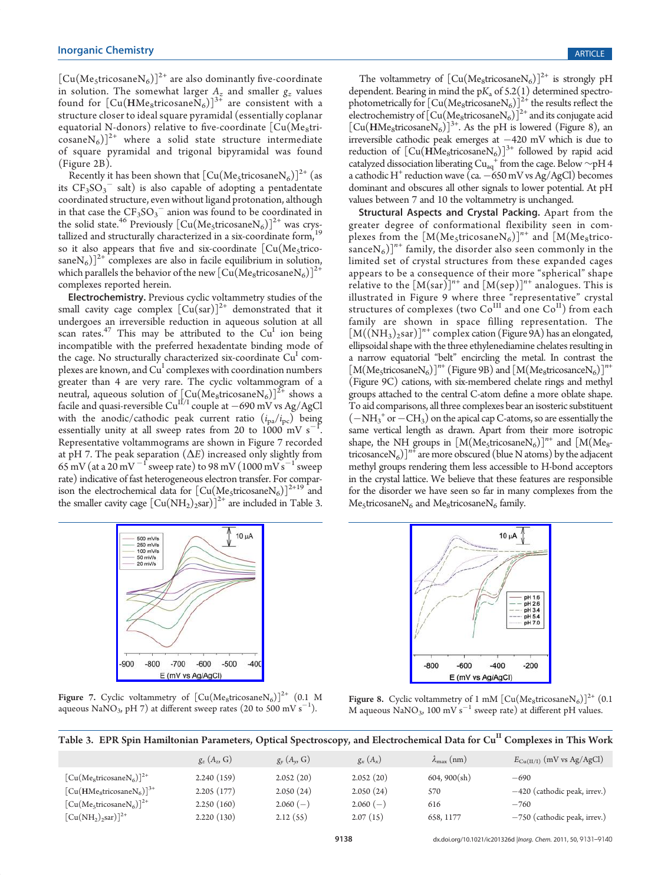$[Cu(Me<sub>5</sub>tricosaneN<sub>6</sub>)]<sup>2+</sup>$  are also dominantly five-coordinate in solution. The somewhat larger  $A_z$  and smaller  $g_z$  values found for  $[\text{Cu}(\text{HMe}_{8}\text{tricosane}\text{N}_{6})]^{3+}$  are consistent with a structure closer to ideal square pyramidal (essentially coplanar equatorial N-donors) relative to five-coordinate  $[Cu(Me_8tri \cos$ ane $N_6$ ]<sup>2+</sup> where a solid state structure intermediate of square pyramidal and trigonal bipyramidal was found (Figure 2B).

Recently it has been shown that  $\left[\text{Cu}(M_{\text{e}}\text{stricosaneN}_6)\right]^{2+}$  (as its  $CF_3SO_3^-$  salt) is also capable of adopting a pentadentate coordinated structure, even without ligand protonation, although in that case the  $CF_3SO_3^-$  anion was found to be coordinated in the solid state.<sup>46</sup> Previously  $\left[\text{Cu}(M\text{e}_5\text{tricosaneN}_6)\right]^{2+}$  was crystallized and structurally characterized in a six-coordinate form,<sup>19</sup> so it also appears that five and six-coordinate  $[Cu(Me<sub>5</sub>trico$ sane $N_6$ ]<sup>2+</sup> complexes are also in facile equilibrium in solution, which parallels the behavior of the new  $\left[\mathrm{Cu}(\mathrm{Me}_8\mathrm{tricosaneN}_6)\right]^2$ complexes reported herein.

Electrochemistry. Previous cyclic voltammetry studies of the small cavity cage complex  $\left[\text{Cu(sar)}\right]^{2+}$  demonstrated that it undergoes an irreversible reduction in aqueous solution at all scan rates.<sup>47</sup> This may be attributed to the  $Cu<sup>I</sup>$  ion being incompatible with the preferred hexadentate binding mode of the cage. No structurally characterized six-coordinate  $Cu<sup>I</sup>$  complexes are known, and  $\acute{\rm Cu}^{\rm I}$  complexes with coordination numbers greater than 4 are very rare. The cyclic voltammogram of a neutral, aqueous solution of  $\left[\mathrm{Cu}(\mathrm{Me}_8\mathrm{tricosaneN}_6)\right]^{2+}$  shows a facile and quasi-reversible  $\text{Cu}^{\text{II/I}}$  couple at  $-690$  mV vs Ag/AgCl with the anodic/cathodic peak current ratio  $(i_{pa}/i_{pc})$  being essentially unity at all sweep rates from 20 to  $1000 \text{ mV s}^{-1}$ . Representative voltammograms are shown in Figure 7 recorded at pH 7. The peak separation  $(\Delta E)$  increased only slightly from  $65\,\mathrm{mV}$  (at a  $20\,\mathrm{mV}^{-1}$  sweep rate) to 98 mV (1000 mV s $^{-1}$  sweep rate) indicative of fast heterogeneous electron transfer. For comparison the electrochemical data for  $\left[\text{Cu}(\text{Me}_5 \text{tricosaneN}_6)\right]^{2+19}$  and the smaller cavity cage  $\left[\text{Cu(NH}_2)\right]^{2+}$  are included in Table 3.



Figure 7. Cyclic voltammetry of  $[Cu(Me<sub>8</sub>tricosaneN<sub>6</sub>)]<sup>2+</sup>$  (0.1 M aqueous NaNO<sub>3</sub>, pH 7) at different sweep rates (20 to 500 mV s<sup>-1</sup>).

The voltammetry of  $\left[\text{Cu}(Me<sub>8</sub>tricosaneN<sub>6</sub>)\right]^{2+}$  is strongly pH dependent. Bearing in mind the  $pK_a$  of  $5.2(1)$  determined spectrophotometrically for  $\left[\text{Cu}(\text{Me}_8 \text{tricosaneN}_6)\right]^{24}$  the results reflect the electrochemistry of  $\left[\text{Cu}(\text{Me}_8 \text{tricosaneN}_6)\right]^{2+}$  and its conjugate acid  $[Cu(HMe<sub>8</sub>tricosaneN<sub>6</sub>)]<sup>3+</sup>$ . As the pH is lowered (Figure 8), an irreversible cathodic peak emerges at  $-420$  mV which is due to reduction of  $\left[\mathrm{Cu}(\mathrm{HMe}_8\mathrm{tricosaneN}_6)\right]^{3+}$  followed by rapid acid catalyzed dissociation liberating Cu<sub>aq</sub><sup>+</sup> from the cage. Below ∼pH 4 a cathodic H<sup>+</sup> reduction wave  $\left(\text{ca.} -\frac{650 \text{ mV}}{99 \text{ kg}}\right)$  becomes dominant and obscures all other signals to lower potential. At pH values between 7 and 10 the voltammetry is unchanged.

Structural Aspects and Crystal Packing. Apart from the greater degree of conformational flexibility seen in complexes from the  $[M(Me_5tricosaneN_6)]^{n+}$  and  $[M(Me_8trico$ sance $N_6$ ]<sup>n+</sup> family, the disorder also seen commonly in the limited set of crystal structures from these expanded cages appears to be a consequence of their more "spherical" shape relative to the  $[M(sar)]^{n+}$  and  $[M(sep)]^{n+}$  analogues. This is illustrated in Figure 9 where three "representative" crystal structures of complexes (two  $Co^{III}$  and one  $Co^{II}$ ) from each family are shown in space filling representation. The  $[M((NH<sub>3</sub>)<sub>2</sub> sar)]<sup>n+</sup> complex cation (Figure 9A) has an elongated,$ ellipsoidal shape with the three ethylenediamine chelates resulting in a narrow equatorial "belt" encircling the metal. In contrast the  $[M(MegtricosaneN<sub>6</sub>)]<sup>n+</sup>$  (Figure 9B) and  $[M(MegtricosanceN<sub>6</sub>)]<sup>n+</sup>$ (Figure 9C) cations, with six-membered chelate rings and methyl groups attached to the central C-atom define a more oblate shape. To aid comparisons, all three complexes bear an isosteric substituent  $(-NH<sub>3</sub><sup>+</sup> or -CH<sub>3</sub>)$  on the apical cap C-atoms, so are essentially the same vertical length as drawn. Apart from their more isotropic shape, the NH groups in  $[M(Me_5tricosaneN_6)]^{n+}$  and  $[M(Me_8$ tricosance $N_6$ ]<sup>n+</sup> are more obscured (blue N atoms) by the adjacent methyl groups rendering them less accessible to H-bond acceptors in the crystal lattice. We believe that these features are responsible for the disorder we have seen so far in many complexes from the  $Me<sub>5</sub>tricosaneN<sub>6</sub>$  and  $Me<sub>8</sub>tricosaneN<sub>6</sub>$  family.



Figure 8. Cyclic voltammetry of 1 mM  $\left[\text{Cu}(\text{Me}_8 \text{tricosaneN}_6)\right]^{2+}$  (0.1 M aqueous NaNO<sub>3</sub>, 100 mV s<sup>-1</sup> sweep rate) at different pH values.

| Table 3. EPR Spin Hamiltonian Parameters, Optical Spectroscopy, and Electrochemical Data for Cu <sup>II</sup> Complexes in This Work |  |  |
|--------------------------------------------------------------------------------------------------------------------------------------|--|--|
|                                                                                                                                      |  |  |

|                              | $g_{z}$ $(A_{z}, G)$ | $g_{\nu}$ $(A_{\nu}, G)$ | $g_x(A_x)$ | $\lambda_{\max}$ (nm) | $E_{\text{Cu(II/I)}}$ (mV vs Ag/AgCl) |
|------------------------------|----------------------|--------------------------|------------|-----------------------|---------------------------------------|
| $[Cu(MegtricosaneN6)]^{2+}$  | 2.240(159)           | 2.052(20)                | 2.052(20)  | 604, 900(sh)          | $-690$                                |
| $[Cu(HMe8tricosaneN6)]^{3+}$ | 2.205(177)           | 2.050(24)                | 2.050(24)  | 570                   | $-420$ (cathodic peak, irrev.)        |
| $[Cu(Me5tricosaneN6)]2+$     | 2.250(160)           | $2.060(-)$               | $2.060(-)$ | 616                   | $-760$                                |
| $[Cu(NH2)2 sar)]2+$          | 2.220(130)           | 2.12(55)                 | 2.07(15)   | 658, 1177             | $-750$ (cathodic peak, irrev.)        |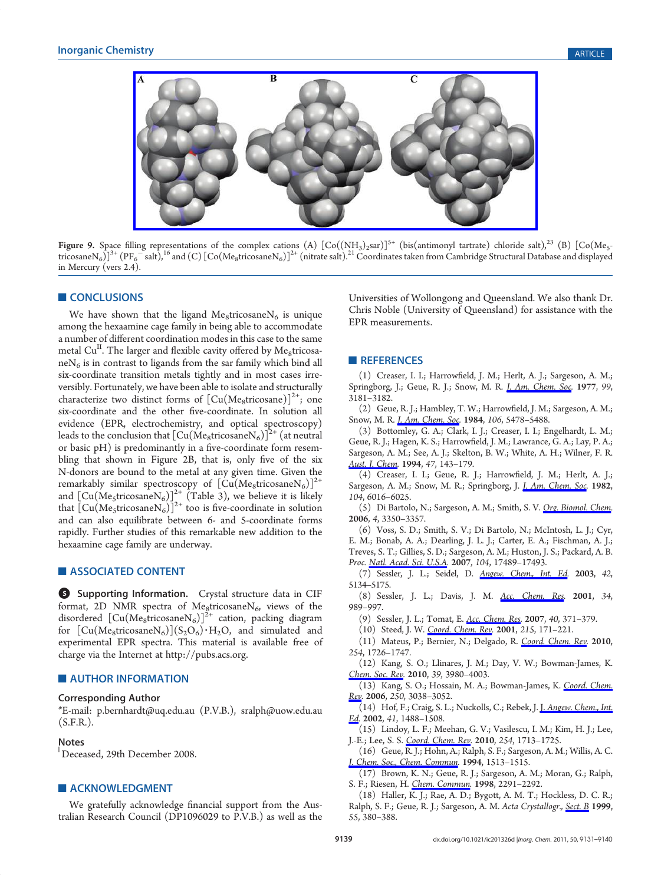

Figure 9. Space filling representations of the complex cations (A)  $[Co((NH_3)_2\text{sar})]^{5+}$  (bis(antimonyl tartrate) chloride salt),<sup>23</sup> (B)  $[Co(Me, -1)]$ tricosane $N_6$ )] $^{3+}$  (PF $_6^-$ salt), $^{16}$  and (C) [Co(Me $_8$ tricosane $N_6$ )] $^{2+}$  (nitrate salt). $^{21}$  Coordinates taken from Cambridge Structural Database and displayed in Mercury (vers 2.4).

#### **CONCLUSIONS**

We have shown that the ligand Me<sub>8</sub>tricosane $N_6$  is unique among the hexaamine cage family in being able to accommodate a number of different coordination modes in this case to the same metal  $Cu<sup>11</sup>$ . The larger and flexible cavity offered by Me<sub>8</sub>tricosa $neN<sub>6</sub>$  is in contrast to ligands from the sar family which bind all six-coordinate transition metals tightly and in most cases irreversibly. Fortunately, we have been able to isolate and structurally characterize two distinct forms of  $\left[\text{Cu(Me_{8}\text{tricosane})}\right]^{2+}$ ; one six-coordinate and the other five-coordinate. In solution all evidence (EPR, electrochemistry, and optical spectroscopy) leads to the conclusion that  $\left[\mathrm{Cu}(\mathrm{Me}_8\mathrm{tricosaneN}_6)\right]^{2+}$  (at neutral or basic pH) is predominantly in a five-coordinate form resembling that shown in Figure 2B, that is, only five of the six N-donors are bound to the metal at any given time. Given the remarkably similar spectroscopy of  $[\text{Cu}(\text{Me}_8 \text{tricosaneN}_6)]^{2+}$ and  $\left[\text{Cu}(\text{Me}_{5}\text{tricosaneN}_{6})\right]_{2}^{2+}$  (Table 3), we believe it is likely that  $\left[\text{Cu}(M\text{e}_{5}\text{tricosaneN}_{6})\right]^{2+}$  too is five-coordinate in solution and can also equilibrate between 6- and 5-coordinate forms rapidly. Further studies of this remarkable new addition to the hexaamine cage family are underway.

#### **ASSOCIATED CONTENT**

**6** Supporting Information. Crystal structure data in CIF format, 2D NMR spectra of Me<sub>8</sub>tricosane $N_6$ , views of the disordered  $\left[\text{Cu}(\text{Me}_8 \text{tricosaneN}_6)\right]^{2+}$  cation, packing diagram for  $[Cu(Me<sub>8</sub>tricosaneN<sub>6</sub>)](S<sub>2</sub>O<sub>6</sub>) · H<sub>2</sub>O, and simulated and$ experimental EPR spectra. This material is available free of charge via the Internet at http://pubs.acs.org.

#### **NUTHOR INFORMATION**

#### Corresponding Author

\*E-mail: p.bernhardt@uq.edu.au (P.V.B.), sralph@uow.edu.au (S.F.R.).

#### Notes

)Deceased, 29th December 2008.

#### **ACKNOWLEDGMENT**

We gratefully acknowledge financial support from the Australian Research Council (DP1096029 to P.V.B.) as well as the Universities of Wollongong and Queensland. We also thank Dr. Chris Noble (University of Queensland) for assistance with the EPR measurements.

#### **REFERENCES**

(1) Creaser, I. I.; Harrowfield, J. M.; Herlt, A. J.; Sargeson, A. M.; Springborg, J.; Geue, R. J.; Snow, M. R. J. Am. Chem. Soc. 1977, 99, 3181–3182.

(2) Geue, R. J.; Hambley, T. W.; Harrowfield, J. M.; Sargeson, A. M.; Snow, M. R. *J. Am. Chem. Soc.* 1984, 106, 5478-5488.

(3) Bottomley, G. A.; Clark, I. J.; Creaser, I. I.; Engelhardt, L. M.; Geue, R. J.; Hagen, K. S.; Harrowfield, J. M.; Lawrance, G. A.; Lay, P. A.; Sargeson, A. M.; See, A. J.; Skelton, B. W.; White, A. H.; Wilner, F. R. Aust. J. Chem. 1994, 47, 143-179.

(4) Creaser, I. I.; Geue, R. J.; Harrowfield, J. M.; Herlt, A. J.; Sargeson, A. M.; Snow, M. R.; Springborg, J. *J. Am. Chem. Soc.* 1982, 104, 6016–6025.

(5) Di Bartolo, N.; Sargeson, A. M.; Smith, S. V. Org. Biomol. Chem. 2006, 4, 3350–3357.

(6) Voss, S. D.; Smith, S. V.; Di Bartolo, N.; McIntosh, L. J.; Cyr, E. M.; Bonab, A. A.; Dearling, J. L. J.; Carter, E. A.; Fischman, A. J.; Treves, S. T.; Gillies, S. D.; Sargeson, A. M.; Huston, J. S.; Packard, A. B. Proc. Natl. Acad. Sci. U.S.A. 2007, 104, 17489-17493.

(7) Sessler, J. L.; Seidel, D. Angew. Chem., Int. Ed. 2003, 42, 5134–5175.

(8) Sessler, J. L.; Davis, J. M. Acc. Chem. Res. 2001, 34, 989–997.

- (9) Sessler, J. L.; Tomat, E. Acc. Chem. Res. 2007, 40, 371–379.
- (10) Steed, J. W. Coord. Chem. Rev. 2001, 215, 171-221.

(11) Mateus, P.; Bernier, N.; Delgado, R. Coord. Chem. Rev. 2010, 254, 1726–1747.

(12) Kang, S. O.; Llinares, J. M.; Day, V. W.; Bowman-James, K. Chem. Soc. Rev. 2010, 39, 3980-4003.

(13) Kang, S. O.; Hossain, M. A.; Bowman-James, K. Coord. Chem. Rev. 2006, 250, 3038–3052.

(14) Hof, F.; Craig, S. L.; Nuckolls, C.; Rebek, J. J. Angew. Chem., Int. Ed. 2002, 41, 1488-1508.

(15) Lindoy, L. F.; Meehan, G. V.; Vasilescu, I. M.; Kim, H. J.; Lee, J.-E.; Lee, S. S. Coord. Chem. Rev. 2010, 254, 1713-1725.

(16) Geue, R. J.; Hohn, A.; Ralph, S. F.; Sargeson, A. M.; Willis, A. C. J. Chem. Soc., Chem. Commun. 1994, 1513–1515.

(17) Brown, K. N.; Geue, R. J.; Sargeson, A. M.; Moran, G.; Ralph, S. F.; Riesen, H. Chem. Commun. 1998, 2291–2292.

(18) Haller, K. J.; Rae, A. D.; Bygott, A. M. T.; Hockless, D. C. R.; Ralph, S. F.; Geue, R. J.; Sargeson, A. M. Acta Crystallogr., Sect. B 1999, 55, 380–388.